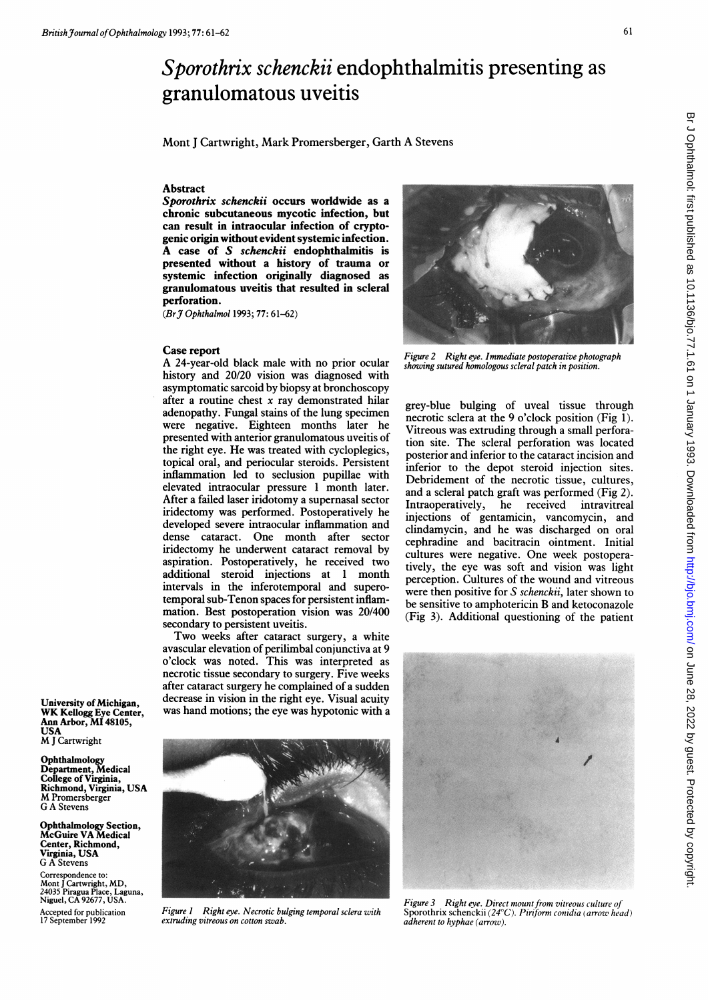# Sporothrix schenckii endophthalmitis presenting as granulomatous uveitis

Mont <sup>J</sup> Cartwright, Mark Promersberger, Garth A Stevens

## Abstract

Sporothrix schenckii occurs worldwide as a chronic subcutaneous mycotic infection, but can result in intraocular infection of cryptogenic origin without evident systemic infection. A case of S schenckii endophthalmitis is presented without a history of trauma or systemic infection originally diagnosed as granulomatous uveitis that resulted in scleral perforation.

(Br3 Ophthalmol 1993; 77: 61-62)

#### Case report

University of Michigan, WK Kellogg Eye Center, Ann Arbor, MI 48105,

Department, Medical College of Virginia, Richmond, Virginia, USA M Promersberger

Ophthalmology Section, McGuire VA Medical Center, Richmond, Virginia, USA G A Stevens Correspondence to:

Mont <sup>J</sup> Cartwright, MD, 24035 Piragua Place, Laguna, Niguel, CA 92677, USA.

Accepted for publication 17 September 1992

USA M <sup>J</sup> Cartwright Ophthalmology

G A Stevens

A 24-year-old black male with no prior ocular history and 20/20 vision was diagnosed with asymptomatic sarcoid by biopsy at bronchoscopy after a routine chest  $x$  ray demonstrated hilar adenopathy. Fungal stains of the lung specimen were negative. Eighteen months later he presented with anterior granulomatous uveitis of the right eye. He was treated with cycloplegics, topical oral, and periocular steroids. Persistent inflammation led to seclusion pupillae with elevated intraocular pressure <sup>1</sup> month later. After a failed laser iridotomy a supernasal sector iridectomy was performed. Postoperatively he developed severe intraocular inflammation and dense cataract. One month after sector iridectomy he underwent cataract removal by aspiration. Postoperatively, he received two additional steroid injections at <sup>1</sup> month intervals in the inferotemporal and superotemporal sub-Tenon spaces for persistent inflammation. Best postoperation vision was 20/400 secondary to persistent uveitis.

Two weeks after cataract surgery, <sup>a</sup> white avascular elevation of perilimbal conjunctiva at 9 o'clock was noted. This was interpreted as necrotic tissue secondary to surgery. Five weeks after cataract surgery he complained of a sudden decrease in vision in the right eye. Visual acuity was hand motions; the eye was hypotonic with a



Figure I Right eye. Necrotic bulging temporal sclera with extruding vitreous on cotton swab.



Figure 2 Right eye. Immediate postoperative photograph showing sutured homologous scleral patch in position.

grey-blue bulging of uveal tissue through necrotic sclera at the 9 o'clock position (Fig 1). Vitreous was extruding through a small perforation site. The scleral perforation was located posterior and inferior to the cataract incision and inferior to the depot steroid injection sites. Debridement of the necrotic tissue, cultures, and a scleral patch graft was performed (Fig 2). Intraoperatively, he received intravitreal injections of gentamicin, vancomycin, and clindamycin, and he was discharged on oral cephradine and bacitracin ointment. Initial cultures were negative. One week postoperatively, the eye was soft and vision was light perception. Cultures of the wound and vitreous were then positive for S schenckii, later shown to be sensitive to amphotericin B and ketoconazole (Fig 3). Additional questioning of the patient



Figure 3 Right eye. Direct mount from vitreous culture of Sporothrix schenckii (24°C). Piriform conidia (arrow head) adherent to hyphae (arrow).